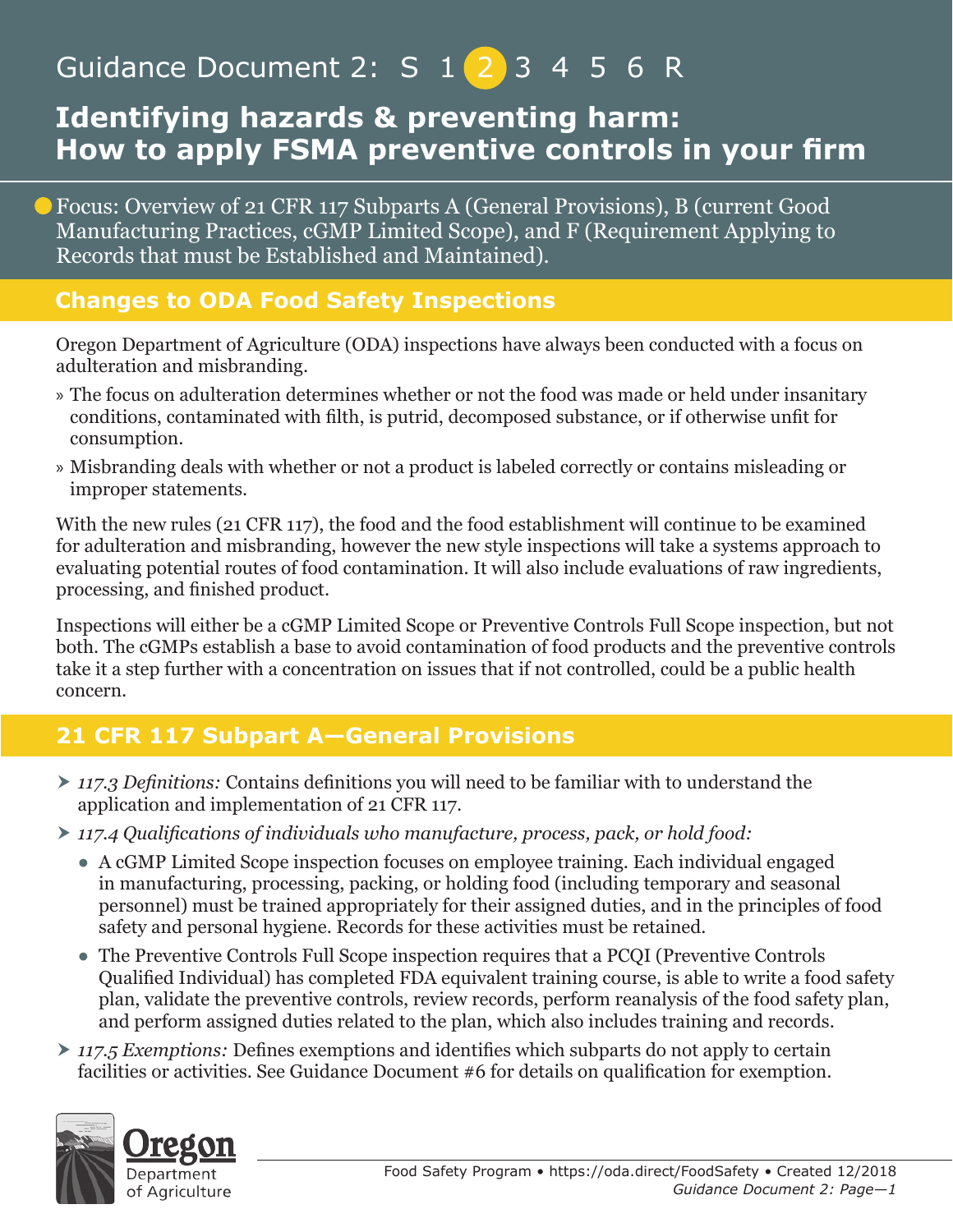# Guidance Document 2: S 1 2 3 4 5 6 R

## **Identifying hazards & preventing harm: How to apply FSMA preventive controls in your firm**

Focus: Overview of 21 CFR 117 Subparts A (General Provisions), B (current Good Manufacturing Practices, cGMP Limited Scope), and F (Requirement Applying to Records that must be Established and Maintained).

### **Changes to ODA Food Safety Inspections**

Oregon Department of Agriculture (ODA) inspections have always been conducted with a focus on adulteration and misbranding.

- » The focus on adulteration determines whether or not the food was made or held under insanitary conditions, contaminated with filth, is putrid, decomposed substance, or if otherwise unfit for consumption.
- » Misbranding deals with whether or not a product is labeled correctly or contains misleading or improper statements.

With the new rules (21 CFR 117), the food and the food establishment will continue to be examined for adulteration and misbranding, however the new style inspections will take a systems approach to evaluating potential routes of food contamination. It will also include evaluations of raw ingredients, processing, and finished product.

Inspections will either be a cGMP Limited Scope or Preventive Controls Full Scope inspection, but not both. The cGMPs establish a base to avoid contamination of food products and the preventive controls take it a step further with a concentration on issues that if not controlled, could be a public health concern.

## **21 CFR 117 Subpart A—General Provisions**

- *117.3 Definitions:* Contains definitions you will need to be familiar with to understand the application and implementation of 21 CFR 117.
- *117.4 Qualifications of individuals who manufacture, process, pack, or hold food:*
	- A cGMP Limited Scope inspection focuses on employee training. Each individual engaged in manufacturing, processing, packing, or holding food (including temporary and seasonal personnel) must be trained appropriately for their assigned duties, and in the principles of food safety and personal hygiene. Records for these activities must be retained.
	- The Preventive Controls Full Scope inspection requires that a PCQI (Preventive Controls Qualified Individual) has completed FDA equivalent training course, is able to write a food safety plan, validate the preventive controls, review records, perform reanalysis of the food safety plan, and perform assigned duties related to the plan, which also includes training and records.
- *117.5 Exemptions:* Defines exemptions and identifies which subparts do not apply to certain facilities or activities. See Guidance Document #6 for details on qualification for exemption.

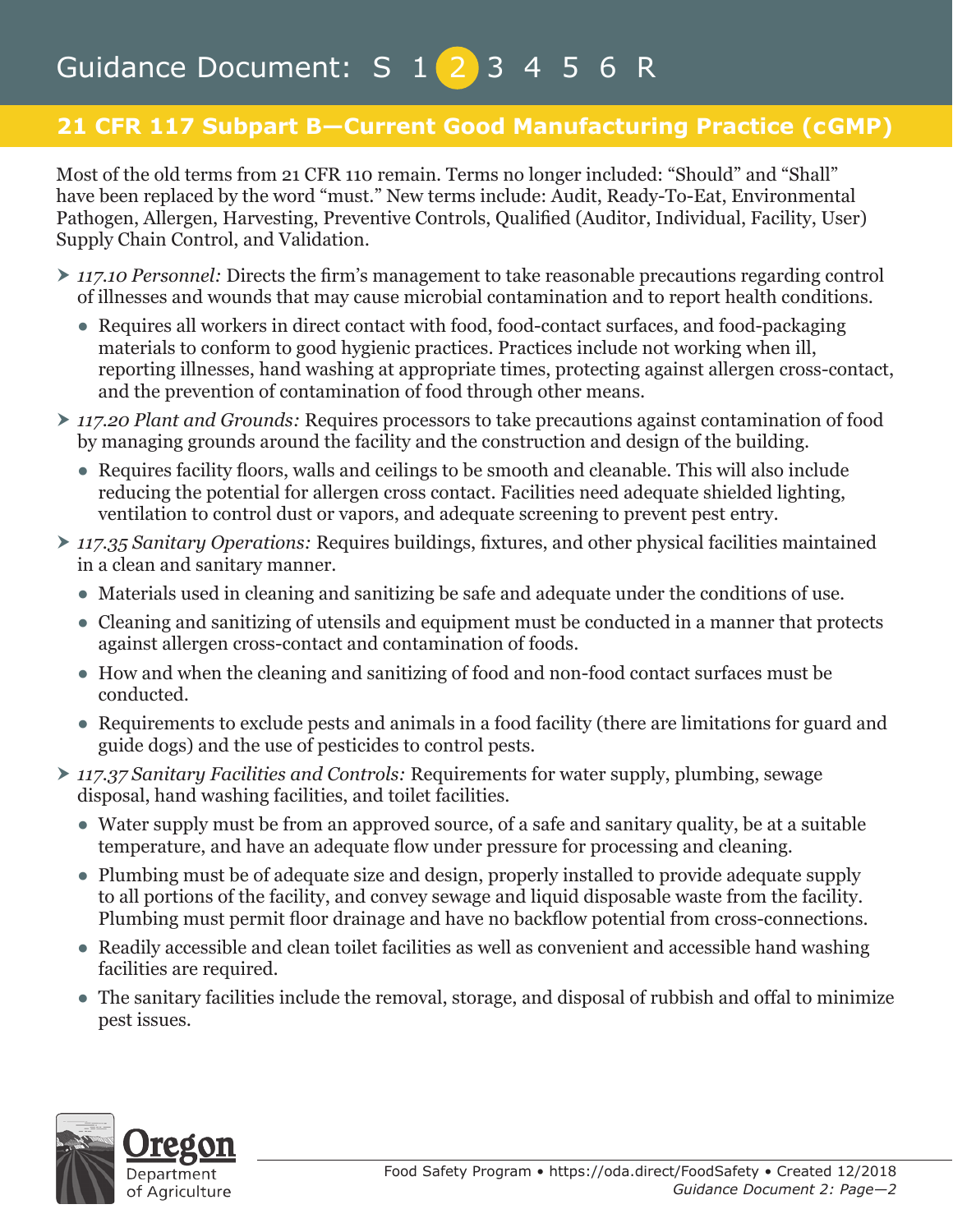## **21 CFR 117 Subpart B—Current Good Manufacturing Practice (cGMP)**

Most of the old terms from 21 CFR 110 remain. Terms no longer included: "Should" and "Shall" have been replaced by the word "must." New terms include: Audit, Ready-To-Eat, Environmental Pathogen, Allergen, Harvesting, Preventive Controls, Qualified (Auditor, Individual, Facility, User) Supply Chain Control, and Validation.

- *117.10 Personnel:* Directs the firm's management to take reasonable precautions regarding control of illnesses and wounds that may cause microbial contamination and to report health conditions.
	- Requires all workers in direct contact with food, food-contact surfaces, and food-packaging materials to conform to good hygienic practices. Practices include not working when ill, reporting illnesses, hand washing at appropriate times, protecting against allergen cross-contact, and the prevention of contamination of food through other means.
- *117.20 Plant and Grounds:* Requires processors to take precautions against contamination of food by managing grounds around the facility and the construction and design of the building.
	- Requires facility floors, walls and ceilings to be smooth and cleanable. This will also include reducing the potential for allergen cross contact. Facilities need adequate shielded lighting, ventilation to control dust or vapors, and adequate screening to prevent pest entry.
- *117.35 Sanitary Operations:* Requires buildings, fixtures, and other physical facilities maintained in a clean and sanitary manner.
	- Materials used in cleaning and sanitizing be safe and adequate under the conditions of use.
	- Cleaning and sanitizing of utensils and equipment must be conducted in a manner that protects against allergen cross-contact and contamination of foods.
	- How and when the cleaning and sanitizing of food and non-food contact surfaces must be conducted.
	- Requirements to exclude pests and animals in a food facility (there are limitations for guard and guide dogs) and the use of pesticides to control pests.
- *117.37 Sanitary Facilities and Controls:* Requirements for water supply, plumbing, sewage disposal, hand washing facilities, and toilet facilities.
	- Water supply must be from an approved source, of a safe and sanitary quality, be at a suitable temperature, and have an adequate flow under pressure for processing and cleaning.
	- Plumbing must be of adequate size and design, properly installed to provide adequate supply to all portions of the facility, and convey sewage and liquid disposable waste from the facility. Plumbing must permit floor drainage and have no backflow potential from cross-connections.
	- Readily accessible and clean toilet facilities as well as convenient and accessible hand washing facilities are required.
	- The sanitary facilities include the removal, storage, and disposal of rubbish and offal to minimize pest issues.

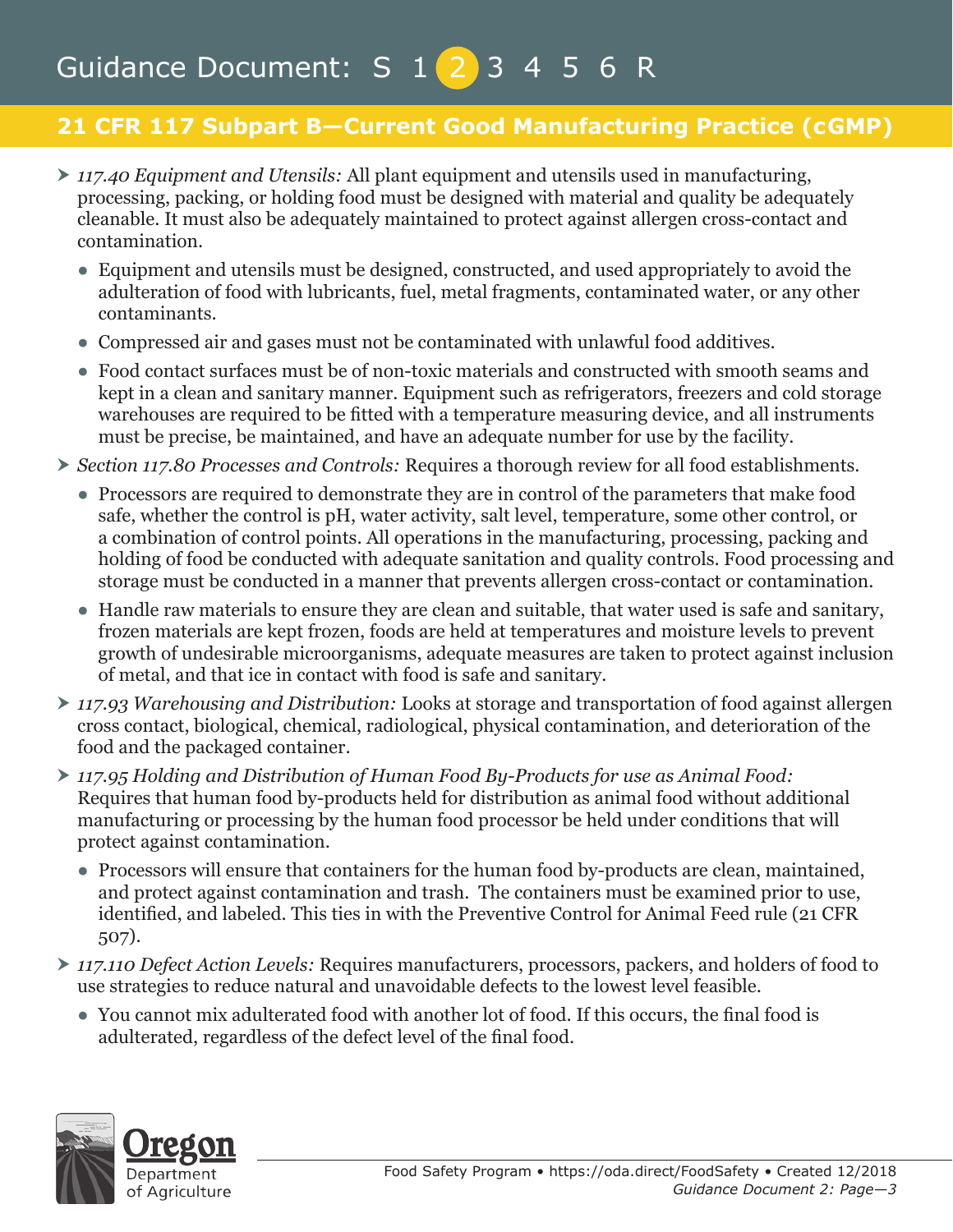## **21 CFR 117 Subpart B—Current Good Manufacturing Practice (cGMP)**

- *117.40 Equipment and Utensils:* All plant equipment and utensils used in manufacturing, processing, packing, or holding food must be designed with material and quality be adequately cleanable. It must also be adequately maintained to protect against allergen cross-contact and contamination.
	- Equipment and utensils must be designed, constructed, and used appropriately to avoid the adulteration of food with lubricants, fuel, metal fragments, contaminated water, or any other contaminants.
	- Compressed air and gases must not be contaminated with unlawful food additives.
	- Food contact surfaces must be of non-toxic materials and constructed with smooth seams and kept in a clean and sanitary manner. Equipment such as refrigerators, freezers and cold storage warehouses are required to be fitted with a temperature measuring device, and all instruments must be precise, be maintained, and have an adequate number for use by the facility.
- *Section 117.80 Processes and Controls:* Requires a thorough review for all food establishments.
	- Processors are required to demonstrate they are in control of the parameters that make food safe, whether the control is pH, water activity, salt level, temperature, some other control, or a combination of control points. All operations in the manufacturing, processing, packing and holding of food be conducted with adequate sanitation and quality controls. Food processing and storage must be conducted in a manner that prevents allergen cross-contact or contamination.
	- Handle raw materials to ensure they are clean and suitable, that water used is safe and sanitary, frozen materials are kept frozen, foods are held at temperatures and moisture levels to prevent growth of undesirable microorganisms, adequate measures are taken to protect against inclusion of metal, and that ice in contact with food is safe and sanitary.
- *117.93 Warehousing and Distribution:* Looks at storage and transportation of food against allergen cross contact, biological, chemical, radiological, physical contamination, and deterioration of the food and the packaged container.
- *117.95 Holding and Distribution of Human Food By-Products for use as Animal Food:*  Requires that human food by-products held for distribution as animal food without additional manufacturing or processing by the human food processor be held under conditions that will protect against contamination.
	- Processors will ensure that containers for the human food by-products are clean, maintained, and protect against contamination and trash. The containers must be examined prior to use, identified, and labeled. This ties in with the Preventive Control for Animal Feed rule (21 CFR 507).
- *117.110 Defect Action Levels:* Requires manufacturers, processors, packers, and holders of food to use strategies to reduce natural and unavoidable defects to the lowest level feasible.
	- You cannot mix adulterated food with another lot of food. If this occurs, the final food is adulterated, regardless of the defect level of the final food.